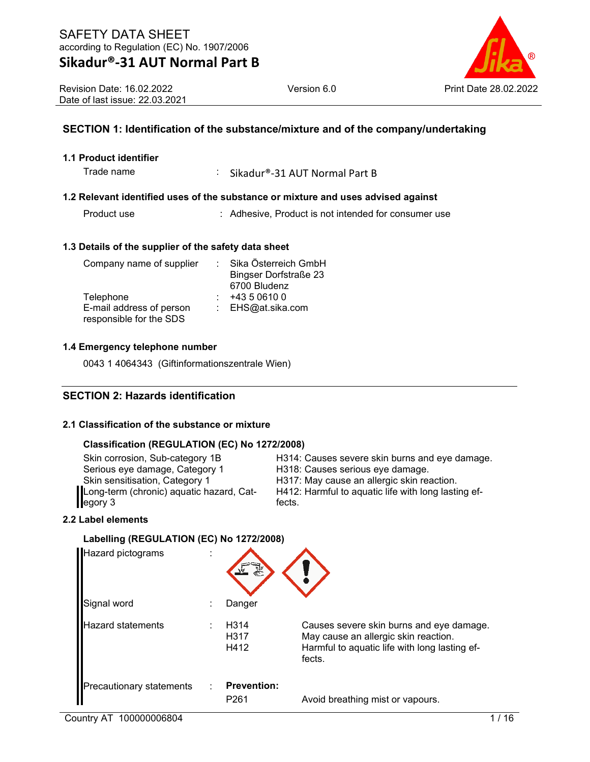

# **SECTION 1: Identification of the substance/mixture and of the company/undertaking**

### **1.1 Product identifier**

Trade name : Sikadur®-31 AUT Normal Part B

#### **1.2 Relevant identified uses of the substance or mixture and uses advised against**

Product use : Adhesive, Product is not intended for consumer use

#### **1.3 Details of the supplier of the safety data sheet**

| Company name of supplier | Sika Österreich GmbH         |
|--------------------------|------------------------------|
|                          | <b>Bingser Dorfstraße 23</b> |
|                          | 6700 Bludenz                 |
| Telephone                | +43 5 0610 0                 |
| E-mail address of person | : EHS@at.sika.com            |
| responsible for the SDS  |                              |

#### **1.4 Emergency telephone number**

0043 1 4064343 (Giftinformationszentrale Wien)

### **SECTION 2: Hazards identification**

#### **2.1 Classification of the substance or mixture**

#### **Classification (REGULATION (EC) No 1272/2008)**

Long-term (chronic) aquatic hazard, Category 3

Skin corrosion, Sub-category 1B H314: Causes severe skin burns and eye damage.<br>Serious eye damage, Category 1 H318: Causes serious eye damage. H318: Causes serious eye damage. Skin sensitisation, Category 1 H317: May cause an allergic skin reaction. H412: Harmful to aquatic life with long lasting effects.

### **2.2 Label elements**

# **Labelling (REGULATION (EC) No 1272/2008)** Hazard pictograms : Signal word : Danger Hazard statements : H314 Causes severe skin burns and eye damage. H317 May cause an allergic skin reaction. H412 Harmful to aquatic life with long lasting effects. Precautionary statements : **Prevention:**  P261 Avoid breathing mist or vapours.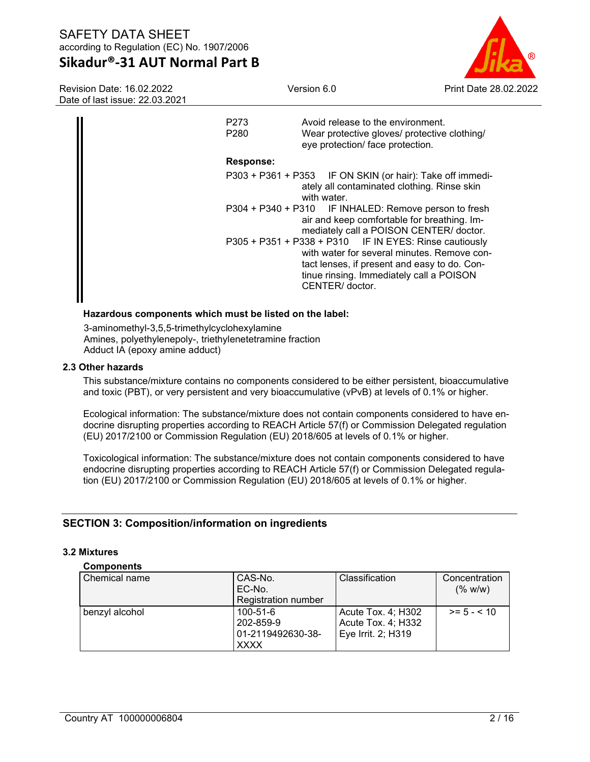# **Sikadur®-31 AUT Normal Part B**

Version 6.0 Print Date 28.02.2022

Revision Date: 16.02.2022 Date of last issue: 22.03.2021

| P273<br>P <sub>280</sub> | Avoid release to the environment.<br>Wear protective gloves/ protective clothing/<br>eye protection/ face protection.                                                                                                |
|--------------------------|----------------------------------------------------------------------------------------------------------------------------------------------------------------------------------------------------------------------|
| <b>Response:</b>         |                                                                                                                                                                                                                      |
|                          | P303 + P361 + P353 IF ON SKIN (or hair): Take off immedi-<br>ately all contaminated clothing. Rinse skin<br>with water.                                                                                              |
|                          | P304 + P340 + P310 IF INHALED: Remove person to fresh<br>air and keep comfortable for breathing. Im-<br>mediately call a POISON CENTER/ doctor.                                                                      |
|                          | P305 + P351 + P338 + P310 IF IN EYES: Rinse cautiously<br>with water for several minutes. Remove con-<br>tact lenses, if present and easy to do. Con-<br>tinue rinsing. Immediately call a POISON<br>CENTER/ doctor. |
|                          |                                                                                                                                                                                                                      |

#### **Hazardous components which must be listed on the label:**

3-aminomethyl-3,5,5-trimethylcyclohexylamine Amines, polyethylenepoly-, triethylenetetramine fraction Adduct IA (epoxy amine adduct)

#### **2.3 Other hazards**

This substance/mixture contains no components considered to be either persistent, bioaccumulative and toxic (PBT), or very persistent and very bioaccumulative (vPvB) at levels of 0.1% or higher.

Ecological information: The substance/mixture does not contain components considered to have endocrine disrupting properties according to REACH Article 57(f) or Commission Delegated regulation (EU) 2017/2100 or Commission Regulation (EU) 2018/605 at levels of 0.1% or higher.

Toxicological information: The substance/mixture does not contain components considered to have endocrine disrupting properties according to REACH Article 57(f) or Commission Delegated regulation (EU) 2017/2100 or Commission Regulation (EU) 2018/605 at levels of 0.1% or higher.

# **SECTION 3: Composition/information on ingredients**

#### **3.2 Mixtures**

#### **Components**

| Chemical name  | CAS-No.<br>EC-No.          | Classification     | Concentration<br>(% w/w) |
|----------------|----------------------------|--------------------|--------------------------|
|                | <b>Registration number</b> |                    |                          |
| benzyl alcohol | 100-51-6                   | Acute Tox. 4; H302 | $>= 5 - 5 10$            |
|                | 202-859-9                  | Acute Tox. 4; H332 |                          |
|                | 01-2119492630-38-          | Eye Irrit. 2; H319 |                          |
|                | <b>XXXX</b>                |                    |                          |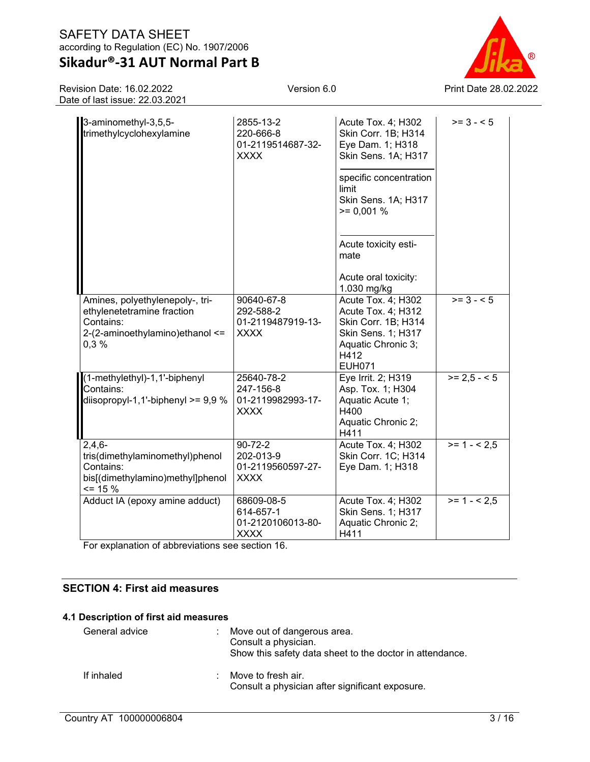# **Sikadur®-31 AUT Normal Part B**

Revision Date: 16.02.2022 Date of last issue: 22.03.2021

0,3 %

3-aminomethyl-3,5,5 trimethylcyclohexylamine

Acute Tox. 4; H302 Skin Corr. 1B; H314 Eye Dam. 1; H318 Skin Sens. 1A; H317

2855-13-2 220-666-8

XXXX

01-2119514687-32-



| diisopropyl-1,1'-biphenyl $>= 9.9 %$                                                                        | 01-2119982993-17-<br><b>XXXX</b>                               | Aquatic Acute 1;<br>H400<br>Aquatic Chronic 2;<br>H411                 |              |
|-------------------------------------------------------------------------------------------------------------|----------------------------------------------------------------|------------------------------------------------------------------------|--------------|
| $2,4,6-$<br>tris(dimethylaminomethyl)phenol<br>Contains:<br>bis[(dimethylamino)methyl]phenol<br>$\leq$ 15 % | $90 - 72 - 2$<br>202-013-9<br>01-2119560597-27-<br><b>XXXX</b> | Acute Tox. 4; H302<br>Skin Corr. 1C; H314<br>Eye Dam. 1; H318          | $>= 1 - 2.5$ |
| Adduct IA (epoxy amine adduct)                                                                              | 68609-08-5<br>614-657-1<br>01-2120106013-80-<br><b>XXXX</b>    | Acute Tox. 4; H302<br>Skin Sens. 1; H317<br>Aquatic Chronic 2;<br>H411 | $>= 1 - 2.5$ |

For explanation of abbreviations see section 16.

# **SECTION 4: First aid measures**

#### **4.1 Description of first aid measures**

| General advice | : Move out of dangerous area.<br>Consult a physician.<br>Show this safety data sheet to the doctor in attendance. |  |
|----------------|-------------------------------------------------------------------------------------------------------------------|--|
| If inhaled     | Move to fresh air.<br>Consult a physician after significant exposure.                                             |  |



 $>= 3 - 5$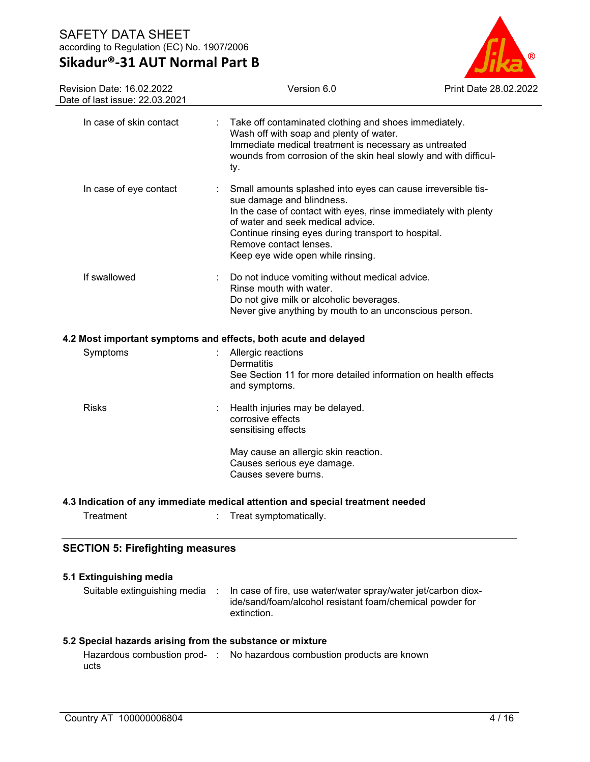# **Sikadur®-31 AUT Normal Part B**



| Revision Date: 16.02.2022<br>Date of last issue: 22.03.2021 | Version 6.0                                                                                                                                                                                                                                                                                                             | Print Date 28.02.2022 |
|-------------------------------------------------------------|-------------------------------------------------------------------------------------------------------------------------------------------------------------------------------------------------------------------------------------------------------------------------------------------------------------------------|-----------------------|
| In case of skin contact                                     | Take off contaminated clothing and shoes immediately.<br>Wash off with soap and plenty of water.<br>Immediate medical treatment is necessary as untreated<br>wounds from corrosion of the skin heal slowly and with difficul-<br>ty.                                                                                    |                       |
| In case of eye contact                                      | Small amounts splashed into eyes can cause irreversible tis-<br>sue damage and blindness.<br>In the case of contact with eyes, rinse immediately with plenty<br>of water and seek medical advice.<br>Continue rinsing eyes during transport to hospital.<br>Remove contact lenses.<br>Keep eye wide open while rinsing. |                       |
| If swallowed                                                | Do not induce vomiting without medical advice.<br>Rinse mouth with water.<br>Do not give milk or alcoholic beverages.<br>Never give anything by mouth to an unconscious person.                                                                                                                                         |                       |
|                                                             | 4.2 Most important symptoms and effects, both acute and delayed                                                                                                                                                                                                                                                         |                       |
| Symptoms                                                    | Allergic reactions<br>Dermatitis<br>See Section 11 for more detailed information on health effects<br>and symptoms.                                                                                                                                                                                                     |                       |
| <b>Risks</b>                                                | Health injuries may be delayed.<br>corrosive effects<br>sensitising effects                                                                                                                                                                                                                                             |                       |
|                                                             | May cause an allergic skin reaction.<br>Causes serious eye damage.<br>Causes severe burns.                                                                                                                                                                                                                              |                       |
|                                                             | 4.3 Indication of any immediate medical attention and special treatment needed                                                                                                                                                                                                                                          |                       |
| Treatment                                                   | Treat symptomatically.                                                                                                                                                                                                                                                                                                  |                       |
| <b>SECTION 5: Firefighting measures</b>                     |                                                                                                                                                                                                                                                                                                                         |                       |

| 5.1 Extinguishing media      |  |                                                                                                                                          |  |  |
|------------------------------|--|------------------------------------------------------------------------------------------------------------------------------------------|--|--|
| Suitable extinguishing media |  | In case of fire, use water/water spray/water jet/carbon diox-<br>ide/sand/foam/alcohol resistant foam/chemical powder for<br>extinction. |  |  |

# **5.2 Special hazards arising from the substance or mixture**

|      | Hazardous combustion prod- : No hazardous combustion products are known |
|------|-------------------------------------------------------------------------|
| ucts |                                                                         |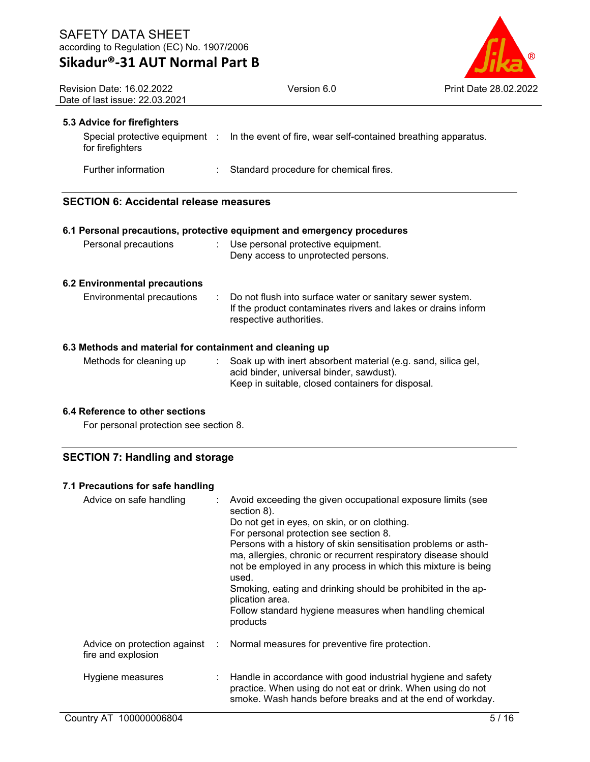

| Revision Date: 16.02.2022<br>Date of last issue: 22.03.2021 |  | Version 6.0                                                                                   | Print Date 28.02.20 |
|-------------------------------------------------------------|--|-----------------------------------------------------------------------------------------------|---------------------|
| 5.3 Advice for firefighters                                 |  |                                                                                               |                     |
| for firefighters                                            |  | Special protective equipment : In the event of fire, wear self-contained breathing apparatus. |                     |
| Further information                                         |  | : Standard procedure for chemical fires.                                                      |                     |
| <b>SECTION 6: Accidental release measures</b>               |  |                                                                                               |                     |

|                                                          | 6.1 Personal precautions, protective equipment and emergency procedures                                                                                        |
|----------------------------------------------------------|----------------------------------------------------------------------------------------------------------------------------------------------------------------|
| Personal precautions                                     | : Use personal protective equipment.<br>Deny access to unprotected persons.                                                                                    |
| <b>6.2 Environmental precautions</b>                     |                                                                                                                                                                |
| Environmental precautions                                | : Do not flush into surface water or sanitary sewer system.<br>If the product contaminates rivers and lakes or drains inform<br>respective authorities.        |
| 6.3 Methods and material for containment and cleaning up |                                                                                                                                                                |
| Methods for cleaning up                                  | Soak up with inert absorbent material (e.g. sand, silica gel,<br>acid binder, universal binder, sawdust).<br>Keep in suitable, closed containers for disposal. |

### **6.4 Reference to other sections**

For personal protection see section 8.

# **SECTION 7: Handling and storage**

### **7.1 Precautions for safe handling**

| Advice on safe handling | Avoid exceeding the given occupational exposure limits (see<br>section 8).<br>Do not get in eyes, on skin, or on clothing.<br>For personal protection see section 8.<br>Persons with a history of skin sensitisation problems or asth-<br>ma, allergies, chronic or recurrent respiratory disease should<br>not be employed in any process in which this mixture is being<br>used.<br>Smoking, eating and drinking should be prohibited in the ap-<br>plication area.<br>Follow standard hygiene measures when handling chemical<br>products |
|-------------------------|----------------------------------------------------------------------------------------------------------------------------------------------------------------------------------------------------------------------------------------------------------------------------------------------------------------------------------------------------------------------------------------------------------------------------------------------------------------------------------------------------------------------------------------------|
| fire and explosion      | Advice on protection against : Normal measures for preventive fire protection.                                                                                                                                                                                                                                                                                                                                                                                                                                                               |
| Hygiene measures        | : Handle in accordance with good industrial hygiene and safety<br>practice. When using do not eat or drink. When using do not<br>smoke. Wash hands before breaks and at the end of workday.                                                                                                                                                                                                                                                                                                                                                  |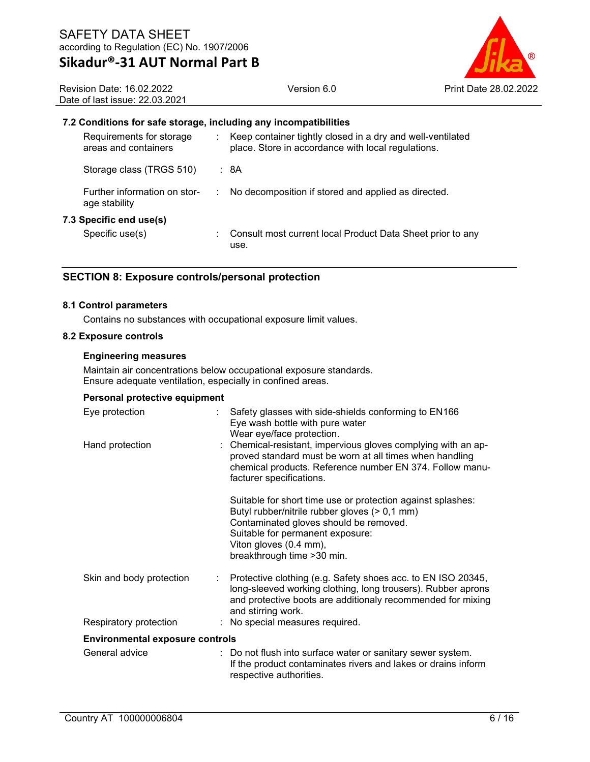

Revision Date: 16.02.2022 Date of last issue: 22.03.2021

#### **7.2 Conditions for safe storage, including any incompatibilities**

| Requirements for storage<br>areas and containers |   | Keep container tightly closed in a dry and well-ventilated<br>place. Store in accordance with local regulations. |
|--------------------------------------------------|---|------------------------------------------------------------------------------------------------------------------|
| Storage class (TRGS 510)                         |   | : 8A                                                                                                             |
| Further information on stor-<br>age stability    | ÷ | No decomposition if stored and applied as directed.                                                              |
| 7.3 Specific end use(s)                          |   |                                                                                                                  |
| Specific use(s)                                  |   | Consult most current local Product Data Sheet prior to any<br>use.                                               |

### **SECTION 8: Exposure controls/personal protection**

#### **8.1 Control parameters**

Contains no substances with occupational exposure limit values.

#### **8.2 Exposure controls**

#### **Engineering measures**

Maintain air concentrations below occupational exposure standards. Ensure adequate ventilation, especially in confined areas.

#### **Personal protective equipment**

| Eye protection                         |                | Safety glasses with side-shields conforming to EN166<br>Eye wash bottle with pure water<br>Wear eye/face protection.                                                                                                                                |
|----------------------------------------|----------------|-----------------------------------------------------------------------------------------------------------------------------------------------------------------------------------------------------------------------------------------------------|
| Hand protection                        |                | : Chemical-resistant, impervious gloves complying with an ap-<br>proved standard must be worn at all times when handling<br>chemical products. Reference number EN 374. Follow manu-<br>facturer specifications.                                    |
|                                        |                | Suitable for short time use or protection against splashes:<br>Butyl rubber/nitrile rubber gloves (> 0,1 mm)<br>Contaminated gloves should be removed.<br>Suitable for permanent exposure:<br>Viton gloves (0.4 mm),<br>breakthrough time > 30 min. |
| Skin and body protection               | $\mathbb{R}^n$ | Protective clothing (e.g. Safety shoes acc. to EN ISO 20345,<br>long-sleeved working clothing, long trousers). Rubber aprons<br>and protective boots are additionaly recommended for mixing<br>and stirring work.                                   |
| Respiratory protection                 |                | : No special measures required.                                                                                                                                                                                                                     |
| <b>Environmental exposure controls</b> |                |                                                                                                                                                                                                                                                     |
| General advice                         |                | : Do not flush into surface water or sanitary sewer system.<br>If the product contaminates rivers and lakes or drains inform<br>respective authorities.                                                                                             |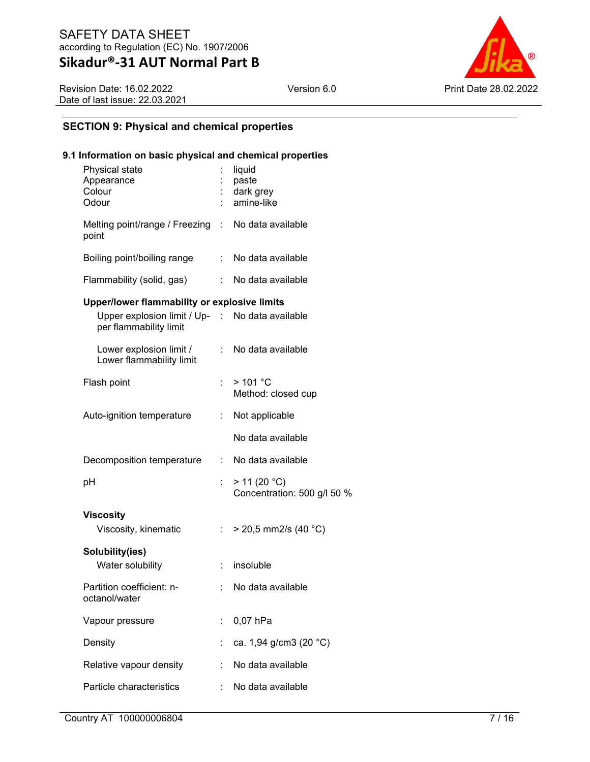Version 6.0 **Print Date 28.02.2022** 

Revision Date: 16.02.2022 Date of last issue: 22.03.2021

# **SECTION 9: Physical and chemical properties**

### **9.1 Information on basic physical and chemical properties**

| Physical state<br>Appearance<br>Colour<br>Odour                                                                           |                | liquid<br>paste<br>dark grey<br>amine-like  |
|---------------------------------------------------------------------------------------------------------------------------|----------------|---------------------------------------------|
| Melting point/range / Freezing : No data available<br>point                                                               |                |                                             |
| Boiling point/boiling range                                                                                               |                | : No data available                         |
| Flammability (solid, gas)                                                                                                 |                | : No data available                         |
| Upper/lower flammability or explosive limits<br>Upper explosion limit / Up- : No data available<br>per flammability limit |                |                                             |
| Lower explosion limit /<br>Lower flammability limit                                                                       | $\mathbb{R}^n$ | No data available                           |
| Flash point                                                                                                               | t.             | >101 °C<br>Method: closed cup               |
| Auto-ignition temperature                                                                                                 | t.             | Not applicable                              |
|                                                                                                                           |                | No data available                           |
| Decomposition temperature                                                                                                 | t.             | No data available                           |
| рH                                                                                                                        | t.             | > 11 (20 °C)<br>Concentration: 500 g/l 50 % |
| <b>Viscosity</b>                                                                                                          |                |                                             |
| Viscosity, kinematic                                                                                                      | ÷.             | $>$ 20,5 mm2/s (40 °C)                      |
| Solubility(ies)<br>Water solubility                                                                                       | ÷              | insoluble                                   |
| Partition coefficient: n-<br>octanol/water                                                                                |                | No data available                           |
| Vapour pressure                                                                                                           | ÷              | 0,07 hPa                                    |
| Density                                                                                                                   |                | ca. 1,94 g/cm3 (20 °C)                      |
| Relative vapour density                                                                                                   | t              | No data available                           |
| Particle characteristics                                                                                                  |                | No data available                           |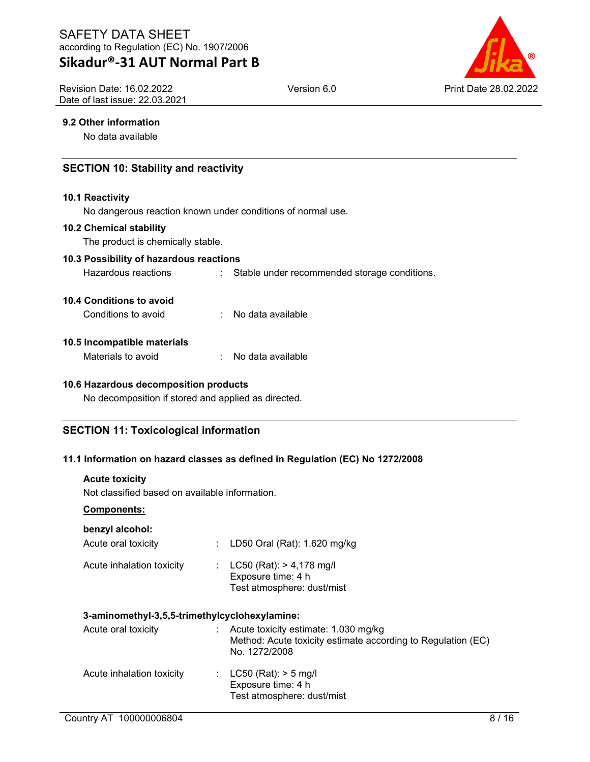# **Sikadur®-31 AUT Normal Part B**

Revision Date: 16.02.2022 Date of last issue: 22.03.2021



### **9.2 Other information**

No data available

# **SECTION 10: Stability and reactivity**

#### **10.1 Reactivity**

No dangerous reaction known under conditions of normal use.

#### **10.2 Chemical stability**

The product is chemically stable.

#### **10.3 Possibility of hazardous reactions**

Hazardous reactions : Stable under recommended storage conditions.

#### **10.4 Conditions to avoid**

Conditions to avoid : No data available

#### **10.5 Incompatible materials**

| Materials to avoid |  | No data available |
|--------------------|--|-------------------|
|--------------------|--|-------------------|

### **10.6 Hazardous decomposition products**

No decomposition if stored and applied as directed.

### **SECTION 11: Toxicological information**

### **11.1 Information on hazard classes as defined in Regulation (EC) No 1272/2008**

#### **Acute toxicity**

Not classified based on available information.

#### **Components:**

#### **benzyl alcohol:**

| Acute oral toxicity       | : LD50 Oral (Rat): 1.620 mg/kg                                                   |
|---------------------------|----------------------------------------------------------------------------------|
| Acute inhalation toxicity | : $LC50 (Rat): > 4,178 mg/l$<br>Exposure time: 4 h<br>Test atmosphere: dust/mist |

#### **3-aminomethyl-3,5,5-trimethylcyclohexylamine:**

| Acute oral toxicity       | Acute toxicity estimate: 1.030 mg/kg<br>Method: Acute toxicity estimate according to Regulation (EC)<br>No. 1272/2008 |
|---------------------------|-----------------------------------------------------------------------------------------------------------------------|
| Acute inhalation toxicity | : $LC50$ (Rat): $> 5$ mg/l<br>Exposure time: 4 h<br>Test atmosphere: dust/mist                                        |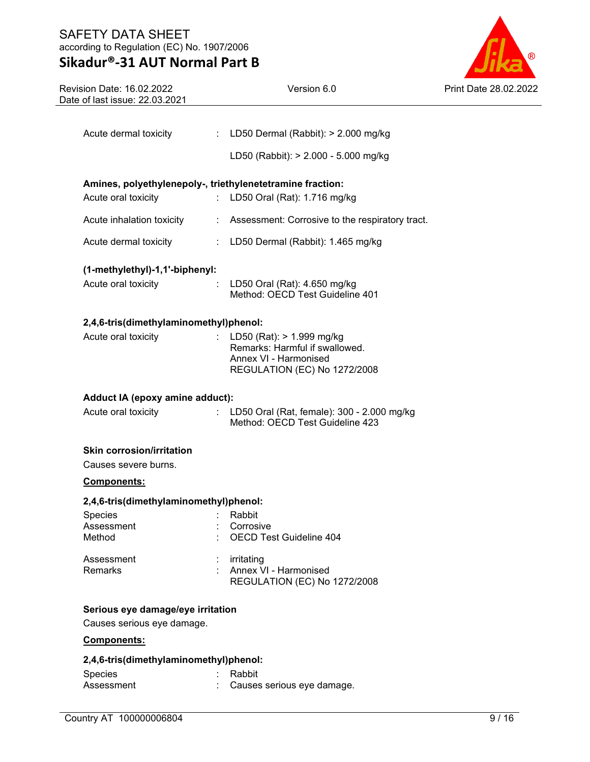# **Sikadur®-31 AUT Normal Part B**



| Revision Date: 16.02.2022<br>Date of last issue: 22.03.2021 | Version 6.0                                                                     | Print Date 28.02.2022 |
|-------------------------------------------------------------|---------------------------------------------------------------------------------|-----------------------|
|                                                             |                                                                                 |                       |
| Acute dermal toxicity                                       | : LD50 Dermal (Rabbit): $> 2.000$ mg/kg                                         |                       |
|                                                             | LD50 (Rabbit): > 2.000 - 5.000 mg/kg                                            |                       |
|                                                             | Amines, polyethylenepoly-, triethylenetetramine fraction:                       |                       |
| Acute oral toxicity                                         | : LD50 Oral (Rat): 1.716 mg/kg                                                  |                       |
| Acute inhalation toxicity                                   | : Assessment: Corrosive to the respiratory tract.                               |                       |
| Acute dermal toxicity                                       | : LD50 Dermal (Rabbit): 1.465 mg/kg                                             |                       |
| (1-methylethyl)-1,1'-biphenyl:                              |                                                                                 |                       |
| Acute oral toxicity                                         | $\therefore$ LD50 Oral (Rat): 4.650 mg/kg<br>Method: OECD Test Guideline 401    |                       |
| 2,4,6-tris(dimethylaminomethyl)phenol:                      |                                                                                 |                       |
| Acute oral toxicity                                         | : LD50 (Rat): $> 1.999$ mg/kg<br>Remarks: Harmful if swallowed.                 |                       |
|                                                             | Annex VI - Harmonised                                                           |                       |
|                                                             | REGULATION (EC) No 1272/2008                                                    |                       |
| Adduct IA (epoxy amine adduct):                             |                                                                                 |                       |
| Acute oral toxicity                                         | : LD50 Oral (Rat, female): 300 - 2.000 mg/kg<br>Method: OECD Test Guideline 423 |                       |
| <b>Skin corrosion/irritation</b>                            |                                                                                 |                       |
| Causes severe burns.                                        |                                                                                 |                       |
| Components:                                                 |                                                                                 |                       |
| 2,4,6-tris(dimethylaminomethyl)phenol:<br>Species           | : Rabbit                                                                        |                       |
| Assessment                                                  | Corrosive                                                                       |                       |
| Method                                                      | OECD Test Guideline 404                                                         |                       |
| Assessment                                                  | irritating                                                                      |                       |
| Remarks                                                     | Annex VI - Harmonised<br>REGULATION (EC) No 1272/2008                           |                       |
| Serious eye damage/eye irritation                           |                                                                                 |                       |
| Causes serious eye damage.                                  |                                                                                 |                       |
| Components:                                                 |                                                                                 |                       |
| 2,4,6-tris(dimethylaminomethyl)phenol:                      |                                                                                 |                       |
| Species                                                     | Rabbit                                                                          |                       |
| Assessment                                                  | Causes serious eye damage.                                                      |                       |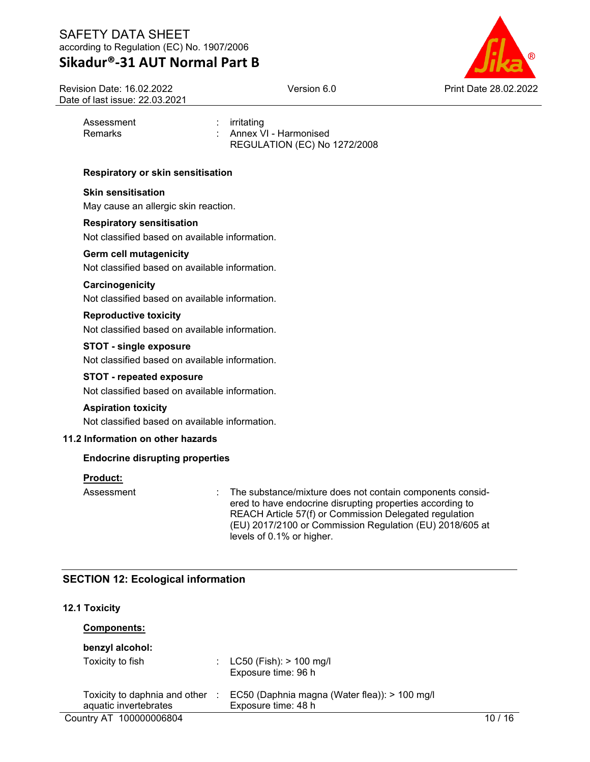Revision Date: 16.02.2022 Date of last issue: 22.03.2021



Assessment : irritating

Remarks : Annex VI - Harmonised REGULATION (EC) No 1272/2008

### **Respiratory or skin sensitisation**

### **Skin sensitisation**

May cause an allergic skin reaction.

#### **Respiratory sensitisation**

Not classified based on available information.

#### **Germ cell mutagenicity**

Not classified based on available information.

### **Carcinogenicity**

Not classified based on available information.

#### **Reproductive toxicity**

Not classified based on available information.

### **STOT - single exposure**

Not classified based on available information.

#### **STOT - repeated exposure**

Not classified based on available information.

#### **Aspiration toxicity**

Not classified based on available information.

### **11.2 Information on other hazards**

### **Endocrine disrupting properties**

#### **Product:**

Assessment : The substance/mixture does not contain components considered to have endocrine disrupting properties according to REACH Article 57(f) or Commission Delegated regulation (EU) 2017/2100 or Commission Regulation (EU) 2018/605 at levels of 0.1% or higher.

# **SECTION 12: Ecological information**

### **12.1 Toxicity**

| <b>Components:</b>                                     |   |                                                                      |      |
|--------------------------------------------------------|---|----------------------------------------------------------------------|------|
| benzyl alcohol:                                        |   |                                                                      |      |
| Toxicity to fish                                       |   | : $LC50$ (Fish): $> 100$ mg/l<br>Exposure time: 96 h                 |      |
| Toxicity to daphnia and other<br>aquatic invertebrates | ÷ | EC50 (Daphnia magna (Water flea)): > 100 mg/l<br>Exposure time: 48 h |      |
| Country AT 100000006804                                |   |                                                                      | ′ 16 |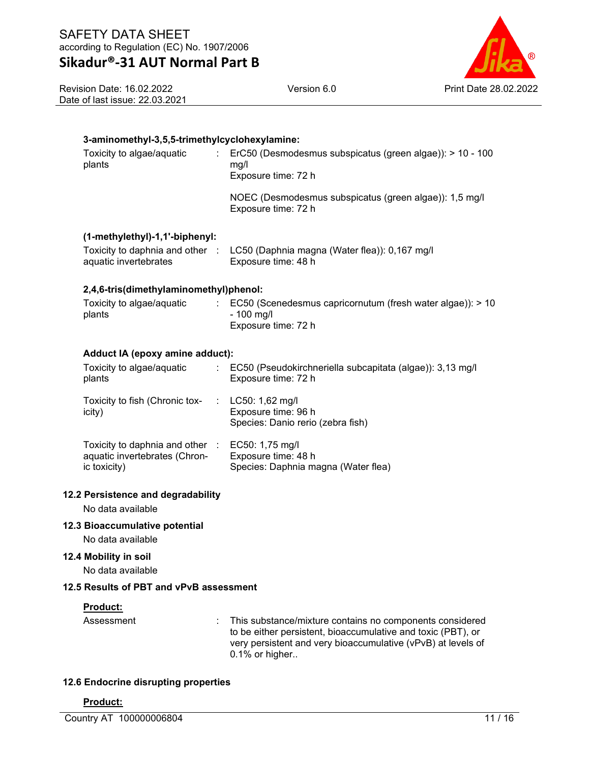Version 6.0 Print Date 28.02.2022

Revision Date: 16.02.2022 Date of last issue: 22.03.2021

# **3-aminomethyl-3,5,5-trimethylcyclohexylamine:**

| Toxicity to algae/aquatic<br>t.<br>plants | ErC50 (Desmodesmus subspicatus (green algae)): > 10 - 100<br>mq/l<br>Exposure time: 72 h                      |  |  |  |
|-------------------------------------------|---------------------------------------------------------------------------------------------------------------|--|--|--|
|                                           | NOEC (Desmodesmus subspicatus (green algae)): 1,5 mg/l<br>Exposure time: 72 h                                 |  |  |  |
| (1-methylethyl)-1,1'-biphenyl:            |                                                                                                               |  |  |  |
| aquatic invertebrates                     | Toxicity to daphnia and other : LC50 (Daphnia magna (Water flea)): 0,167 mg/l<br>Exposure time: 48 h          |  |  |  |
| 2,4,6-tris(dimethylaminomethyl)phenol:    |                                                                                                               |  |  |  |
| Toxicity to algae/aquatic<br>plants       | $\therefore$ EC50 (Scenedesmus capricornutum (fresh water algae)): > 10<br>$-100$ mg/l<br>Exposure time: 72 h |  |  |  |
| Adduct IA (epoxy amine adduct):           |                                                                                                               |  |  |  |
| Toxicity to algae/aquatic<br>plants       | : EC50 (Pseudokirchneriella subcapitata (algae)): 3,13 mg/l<br>Exposure time: 72 h                            |  |  |  |

Species: Daphnia magna (Water flea)

| iduct in Jepoxy allille adduct).             |  |                                                                                                                                                                                                                                                                                                                                                                                                                                                                                     |  |  |
|----------------------------------------------|--|-------------------------------------------------------------------------------------------------------------------------------------------------------------------------------------------------------------------------------------------------------------------------------------------------------------------------------------------------------------------------------------------------------------------------------------------------------------------------------------|--|--|
| xicity to algae/aquatic<br>ants              |  | : EC50 (Pseudokirchneriella su<br>Exposure time: 72 h                                                                                                                                                                                                                                                                                                                                                                                                                               |  |  |
| $\ldots$ . It is the field (Observate terms) |  | $\mathcal{L} = \mathbf{I} \cdot \mathbf{A} \cdot \mathbf{A} \cdot \mathbf{A} \cdot \mathbf{A} \cdot \mathbf{A} \cdot \mathbf{A} \cdot \mathbf{A} \cdot \mathbf{A} \cdot \mathbf{A} \cdot \mathbf{A} \cdot \mathbf{A} \cdot \mathbf{A} \cdot \mathbf{A} \cdot \mathbf{A} \cdot \mathbf{A} \cdot \mathbf{A} \cdot \mathbf{A} \cdot \mathbf{A} \cdot \mathbf{A} \cdot \mathbf{A} \cdot \mathbf{A} \cdot \mathbf{A} \cdot \mathbf{A} \cdot \mathbf{A} \cdot \mathbf{A} \cdot \mathbf{A$ |  |  |

| <b>LOXICITY TO HISTLI CALLOTTIC TOX-</b><br>icity)               | LUOU: T.OZ IIIQ/I<br>Exposure time: 96 h<br>Species: Danio rerio (zebra fish) |
|------------------------------------------------------------------|-------------------------------------------------------------------------------|
| Toxicity to daphnia and other :<br>aquatic invertebrates (Chron- | EC50: 1,75 mg/l<br>Exposure time: 48 h                                        |

**12.2 Persistence and degradability**

No data available

# **12.3 Bioaccumulative potential**

No data available

### **12.4 Mobility in soil**

ic toxicity)

No data available

# **12.5 Results of PBT and vPvB assessment**

### **Product:**

Assessment : This substance/mixture contains no components considered to be either persistent, bioaccumulative and toxic (PBT), or very persistent and very bioaccumulative (vPvB) at levels of 0.1% or higher..

### **12.6 Endocrine disrupting properties**

# **Product:**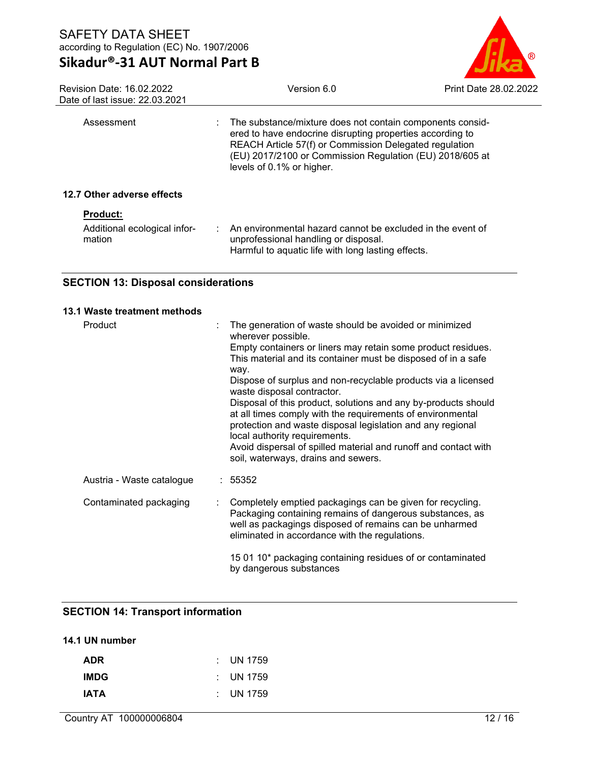

| Revision Date: 16.02.2022<br>Date of last issue: 22,03,2021 | Version 6.0                                                                                                                                                                                                                                                                 | <b>Print Date 28.02.2022</b> |
|-------------------------------------------------------------|-----------------------------------------------------------------------------------------------------------------------------------------------------------------------------------------------------------------------------------------------------------------------------|------------------------------|
| Assessment                                                  | : The substance/mixture does not contain components consid-<br>ered to have endocrine disrupting properties according to<br>REACH Article 57(f) or Commission Delegated regulation<br>(EU) 2017/2100 or Commission Regulation (EU) 2018/605 at<br>levels of 0.1% or higher. |                              |
| 12.7 Other adverse effects                                  |                                                                                                                                                                                                                                                                             |                              |
| <b>Product:</b><br>Additional ecological infor-<br>mation   | $\therefore$ An environmental hazard cannot be excluded in the event of<br>unprofessional handling or disposal.                                                                                                                                                             |                              |
|                                                             | Harmful to aquatic life with long lasting effects.                                                                                                                                                                                                                          |                              |

# **SECTION 13: Disposal considerations**

#### **13.1 Waste treatment methods**

| Product                   |    | The generation of waste should be avoided or minimized<br>wherever possible.                                                                                                                                                                                                                   |
|---------------------------|----|------------------------------------------------------------------------------------------------------------------------------------------------------------------------------------------------------------------------------------------------------------------------------------------------|
|                           |    | Empty containers or liners may retain some product residues.<br>This material and its container must be disposed of in a safe<br>way.                                                                                                                                                          |
|                           |    | Dispose of surplus and non-recyclable products via a licensed<br>waste disposal contractor.                                                                                                                                                                                                    |
|                           |    | Disposal of this product, solutions and any by-products should<br>at all times comply with the requirements of environmental<br>protection and waste disposal legislation and any regional<br>local authority requirements.<br>Avoid dispersal of spilled material and runoff and contact with |
|                           |    | soil, waterways, drains and sewers.                                                                                                                                                                                                                                                            |
| Austria - Waste catalogue |    | : 55352                                                                                                                                                                                                                                                                                        |
| Contaminated packaging    | t. | Completely emptied packagings can be given for recycling.<br>Packaging containing remains of dangerous substances, as<br>well as packagings disposed of remains can be unharmed<br>eliminated in accordance with the regulations.                                                              |
|                           |    | 15 01 10* packaging containing residues of or contaminated<br>by dangerous substances                                                                                                                                                                                                          |

# **SECTION 14: Transport information**

### **14.1 UN number**

| ADR         | : UN 1759 |
|-------------|-----------|
| IMDG.       | : UN 1759 |
| <b>IATA</b> | : UN 1759 |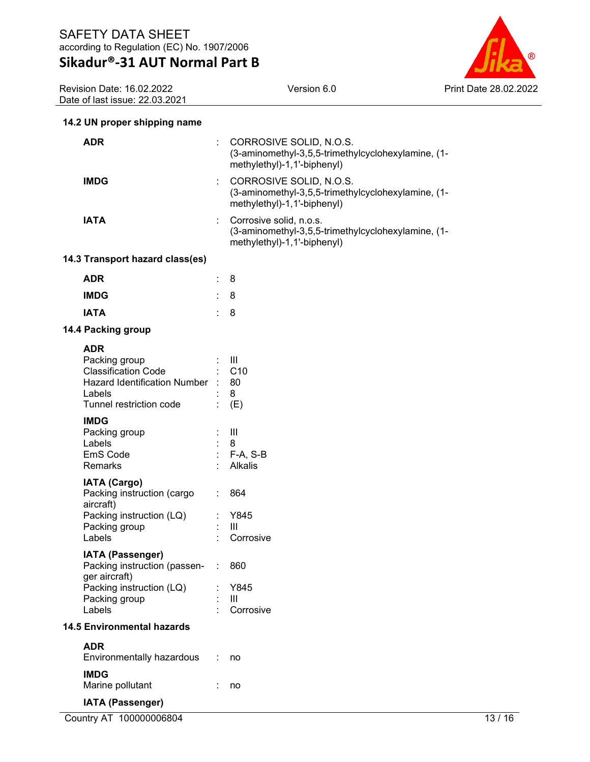

Revision Date: 16.02.2022 Date of last issue: 22.03.2021

# **14.2 UN proper shipping name**

| <b>ADR</b>                                                                                                                          |               | CORROSIVE SOLID, N.O.S.<br>(3-aminomethyl-3,5,5-trimethylcyclohexylamine, (1-<br>methylethyl)-1,1'-biphenyl) |
|-------------------------------------------------------------------------------------------------------------------------------------|---------------|--------------------------------------------------------------------------------------------------------------|
| <b>IMDG</b>                                                                                                                         | ÷.            | CORROSIVE SOLID, N.O.S.<br>(3-aminomethyl-3,5,5-trimethylcyclohexylamine, (1-<br>methylethyl)-1,1'-biphenyl) |
| <b>IATA</b>                                                                                                                         | ÷.            | Corrosive solid, n.o.s.<br>(3-aminomethyl-3,5,5-trimethylcyclohexylamine, (1-<br>methylethyl)-1,1'-biphenyl) |
| 14.3 Transport hazard class(es)                                                                                                     |               |                                                                                                              |
| <b>ADR</b>                                                                                                                          | t.            | 8                                                                                                            |
| <b>IMDG</b>                                                                                                                         |               | 8                                                                                                            |
| <b>IATA</b>                                                                                                                         | ÷.            | 8                                                                                                            |
| 14.4 Packing group                                                                                                                  |               |                                                                                                              |
| <b>ADR</b><br>Packing group<br><b>Classification Code</b><br>Hazard Identification Number : 80<br>Labels<br>Tunnel restriction code |               | $\pm$ - 111 $\pm$<br>$\therefore$ C10<br>8<br>(E)                                                            |
| <b>IMDG</b><br>Packing group<br>Labels<br>EmS Code<br>Remarks                                                                       |               | $\mathbf{III}$<br>8<br>: F-A, S-B<br>Alkalis                                                                 |
| <b>IATA (Cargo)</b><br>Packing instruction (cargo<br>aircraft)<br>Packing instruction (LQ)<br>Packing group<br>Labels               | ÷.            | 864<br>: Y845<br>$\mathbf{III}$<br>Corrosive                                                                 |
| IATA (Passenger)<br>Packing instruction (passen-<br>ger aircraft)<br>Packing instruction (LQ)<br>Packing group<br>Labels            | $\mathcal{L}$ | 860<br>Y845<br>Ш<br>Corrosive                                                                                |
| <b>14.5 Environmental hazards</b>                                                                                                   |               |                                                                                                              |
| <b>ADR</b>                                                                                                                          |               |                                                                                                              |
| Environmentally hazardous                                                                                                           |               | no                                                                                                           |
| <b>IMDG</b><br>Marine pollutant                                                                                                     |               | no                                                                                                           |
| <b>IATA (Passenger)</b>                                                                                                             |               |                                                                                                              |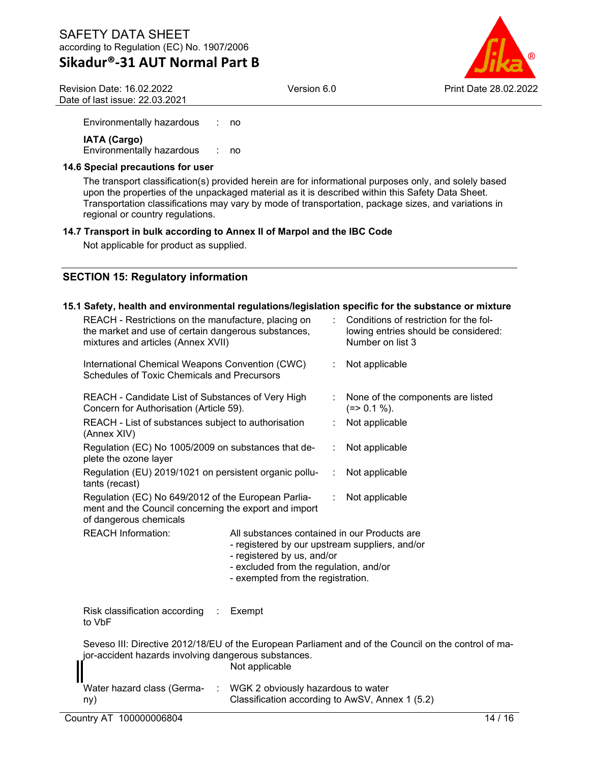# **Sikadur®-31 AUT Normal Part B**

Version 6.0 Print Date 28.02.2022

Revision Date: 16.02.2022 Date of last issue: 22.03.2021

Environmentally hazardous : no

**IATA (Cargo)** Environmentally hazardous : no

### **14.6 Special precautions for user**

The transport classification(s) provided herein are for informational purposes only, and solely based upon the properties of the unpackaged material as it is described within this Safety Data Sheet. Transportation classifications may vary by mode of transportation, package sizes, and variations in regional or country regulations.

### **14.7 Transport in bulk according to Annex II of Marpol and the IBC Code**

Not applicable for product as supplied.

# **SECTION 15: Regulatory information**

#### **15.1 Safety, health and environmental regulations/legislation specific for the substance or mixture** REACH - Restrictions on the manufacture, placing on the market and use of certain dangerous substances, mixtures and articles (Annex XVII) : Conditions of restriction for the following entries should be considered: Number on list 3 International Chemical Weapons Convention (CWC) Schedules of Toxic Chemicals and Precursors : Not applicable REACH - Candidate List of Substances of Very High Concern for Authorisation (Article 59). None of the components are listed  $(=> 0.1 \%)$ . REACH - List of substances subject to authorisation (Annex XIV) : Not applicable Regulation (EC) No 1005/2009 on substances that deplete the ozone layer : Not applicable Regulation (EU) 2019/1021 on persistent organic pollutants (recast) : Not applicable Regulation (EC) No 649/2012 of the European Parliament and the Council concerning the export and import of dangerous chemicals Not applicable REACH Information: All substances contained in our Products are - registered by our upstream suppliers, and/or - registered by us, and/or - excluded from the regulation, and/or - exempted from the registration. Risk classification according to VbF **Exempt** Seveso III: Directive 2012/18/EU of the European Parliament and of the Council on the control of major-accident hazards involving dangerous substances. Not applicable Water hazard class (Germany) : WGK 2 obviously hazardous to water Classification according to AwSV, Annex 1 (5.2)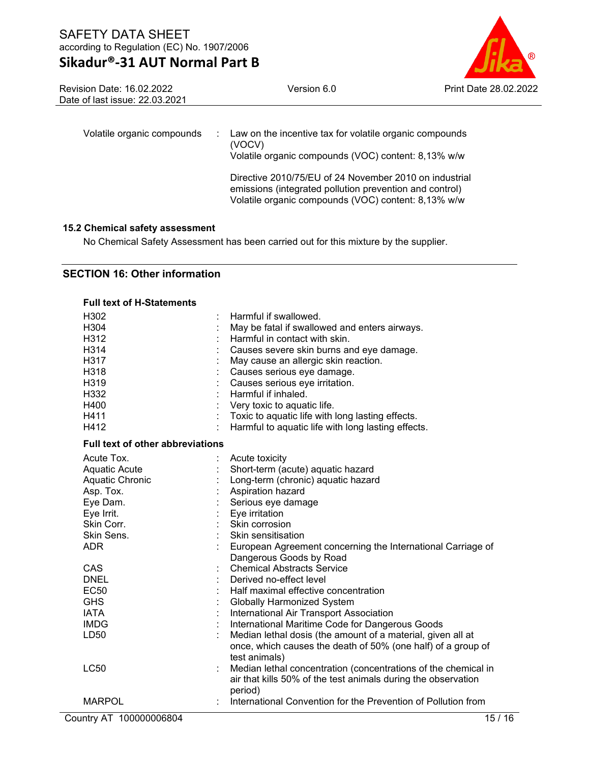

Revision Date: 16.02.2022 Date of last issue: 22.03.2021

| Volatile organic compounds |  | Law on the incentive tax for volatile organic compounds<br>(VOCV)<br>Volatile organic compounds (VOC) content: 8,13% w/w                                                 |
|----------------------------|--|--------------------------------------------------------------------------------------------------------------------------------------------------------------------------|
|                            |  | Directive 2010/75/EU of 24 November 2010 on industrial<br>emissions (integrated pollution prevention and control)<br>Volatile organic compounds (VOC) content: 8,13% w/w |

### **15.2 Chemical safety assessment**

No Chemical Safety Assessment has been carried out for this mixture by the supplier.

### **SECTION 16: Other information**

| <b>Full text of H-Statements</b>        |                                                                          |
|-----------------------------------------|--------------------------------------------------------------------------|
| H <sub>302</sub>                        | Harmful if swallowed.                                                    |
| H304                                    | May be fatal if swallowed and enters airways.                            |
| H312                                    | Harmful in contact with skin.                                            |
| H314                                    | Causes severe skin burns and eye damage.                                 |
| H317                                    | May cause an allergic skin reaction.                                     |
| H318                                    | Causes serious eye damage.                                               |
| H319                                    | Causes serious eye irritation.                                           |
| H332                                    | Harmful if inhaled.                                                      |
| H400                                    | Very toxic to aquatic life.                                              |
| H411                                    | Toxic to aquatic life with long lasting effects.                         |
| H412                                    | Harmful to aquatic life with long lasting effects.                       |
| <b>Full text of other abbreviations</b> |                                                                          |
| Acute Tox.                              | Acute toxicity                                                           |
| <b>Aquatic Acute</b>                    | Short-term (acute) aquatic hazard                                        |
| Aquatic Chronic                         | Long-term (chronic) aquatic hazard                                       |
| Asp. Tox.                               | Aspiration hazard                                                        |
| Eye Dam.                                | Serious eye damage                                                       |
| Eye Irrit.                              | Eye irritation                                                           |
| Skin Corr.                              | Skin corrosion                                                           |
| Skin Sens.                              | Skin sensitisation                                                       |
| <b>ADR</b>                              | European Agreement concerning the International Carriage of              |
|                                         | Dangerous Goods by Road                                                  |
| CAS                                     | <b>Chemical Abstracts Service</b>                                        |
| <b>DNEL</b>                             | Derived no-effect level                                                  |
| <b>EC50</b>                             | Half maximal effective concentration                                     |
| <b>GHS</b>                              | <b>Globally Harmonized System</b>                                        |
| <b>IATA</b>                             | International Air Transport Association                                  |
| <b>IMDG</b>                             | International Maritime Code for Dangerous Goods                          |
| LD <sub>50</sub>                        | Median lethal dosis (the amount of a material, given all at              |
|                                         | once, which causes the death of 50% (one half) of a group of             |
|                                         | test animals)                                                            |
| <b>LC50</b>                             | Median lethal concentration (concentrations of the chemical in           |
|                                         | air that kills 50% of the test animals during the observation            |
| <b>MARPOL</b>                           | period)<br>International Convention for the Prevention of Pollution from |
|                                         |                                                                          |